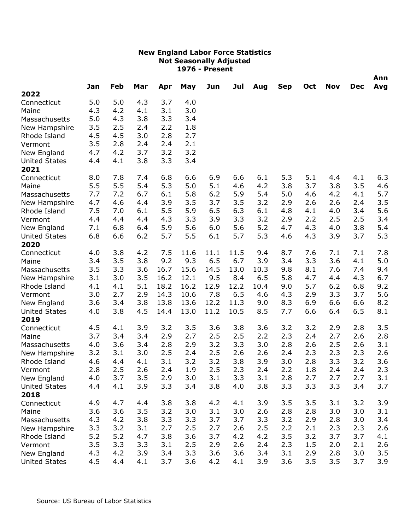|                      |     |     |     |      |      |      |      |      |            |     |            |            | Ann |
|----------------------|-----|-----|-----|------|------|------|------|------|------------|-----|------------|------------|-----|
| 2022                 | Jan | Feb | Mar | Apr  | May  | Jun  | Jul  | Aug  | <b>Sep</b> | Oct | <b>Nov</b> | <b>Dec</b> | Avg |
| Connecticut          | 5.0 | 5.0 | 4.3 | 3.7  | 4.0  |      |      |      |            |     |            |            |     |
| Maine                | 4.3 | 4.2 | 4.1 | 3.1  | 3.0  |      |      |      |            |     |            |            |     |
| Massachusetts        | 5.0 | 4.3 | 3.8 | 3.3  | 3.4  |      |      |      |            |     |            |            |     |
| New Hampshire        | 3.5 | 2.5 | 2.4 | 2.2  | 1.8  |      |      |      |            |     |            |            |     |
| Rhode Island         | 4.5 | 4.5 | 3.0 | 2.8  | 2.7  |      |      |      |            |     |            |            |     |
| Vermont              | 3.5 | 2.8 | 2.4 | 2.4  | 2.1  |      |      |      |            |     |            |            |     |
| New England          | 4.7 | 4.2 | 3.7 | 3.2  | 3.2  |      |      |      |            |     |            |            |     |
| <b>United States</b> | 4.4 | 4.1 | 3.8 | 3.3  | 3.4  |      |      |      |            |     |            |            |     |
| 2021                 |     |     |     |      |      |      |      |      |            |     |            |            |     |
| Connecticut          | 8.0 | 7.8 | 7.4 | 6.8  | 6.6  | 6.9  | 6.6  | 6.1  | 5.3        | 5.1 | 4.4        | 4.1        | 6.3 |
| Maine                | 5.5 | 5.5 | 5.4 | 5.3  | 5.0  | 5.1  | 4.6  | 4.2  | 3.8        | 3.7 | 3.8        | 3.5        | 4.6 |
| Massachusetts        | 7.7 | 7.2 | 6.7 | 6.1  | 5.8  | 6.2  | 5.9  | 5.4  | 5.0        | 4.6 | 4.2        | 4.1        | 5.7 |
| New Hampshire        | 4.7 | 4.6 | 4.4 | 3.9  | 3.5  | 3.7  | 3.5  | 3.2  | 2.9        | 2.6 | 2.6        | 2.4        | 3.5 |
| Rhode Island         | 7.5 | 7.0 | 6.1 | 5.5  | 5.9  | 6.5  | 6.3  | 6.1  | 4.8        | 4.1 | 4.0        | 3.4        | 5.6 |
| Vermont              | 4.4 | 4.4 | 4.4 | 4.3  | 3.3  | 3.9  | 3.3  | 3.2  | 2.9        | 2.2 | 2.5        | 2.5        | 3.4 |
| New England          | 7.1 | 6.8 | 6.4 | 5.9  | 5.6  | 6.0  | 5.6  | 5.2  | 4.7        | 4.3 | 4.0        | 3.8        | 5.4 |
| <b>United States</b> | 6.8 | 6.6 | 6.2 | 5.7  | 5.5  | 6.1  | 5.7  | 5.3  | 4.6        | 4.3 | 3.9        | 3.7        | 5.3 |
| 2020                 |     |     |     |      |      |      |      |      |            |     |            |            |     |
| Connecticut          | 4.0 | 3.8 | 4.2 | 7.5  | 11.6 | 11.1 | 11.5 | 9.4  | 8.7        | 7.6 | 7.1        | 7.1        | 7.8 |
| Maine                | 3.4 | 3.5 | 3.8 | 9.2  | 9.3  | 6.5  | 6.7  | 3.9  | 3.4        | 3.3 | 3.6        | 4.1        | 5.0 |
| Massachusetts        | 3.5 | 3.3 | 3.6 | 16.7 | 15.6 | 14.5 | 13.0 | 10.3 | 9.8        | 8.1 | 7.6        | 7.4        | 9.4 |
| New Hampshire        | 3.1 | 3.0 | 3.5 | 16.2 | 12.1 | 9.5  | 8.4  | 6.5  | 5.8        | 4.7 | 4.4        | 4.3        | 6.7 |
| Rhode Island         | 4.1 | 4.1 | 5.1 | 18.2 | 16.2 | 12.9 | 12.2 | 10.4 | 9.0        | 5.7 | 6.2        | 6.8        | 9.2 |
| Vermont              | 3.0 | 2.7 | 2.9 | 14.3 | 10.6 | 7.8  | 6.5  | 4.6  | 4.3        | 2.9 | 3.3        | 3.7        | 5.6 |
| New England          | 3.6 | 3.4 | 3.8 | 13.8 | 13.6 | 12.2 | 11.3 | 9.0  | 8.3        | 6.9 | 6.6        | 6.6        | 8.2 |
| <b>United States</b> | 4.0 | 3.8 | 4.5 | 14.4 | 13.0 | 11.2 | 10.5 | 8.5  | 7.7        | 6.6 | 6.4        | 6.5        | 8.1 |
| 2019                 |     |     |     |      |      |      |      |      |            |     |            |            |     |
| Connecticut          | 4.5 | 4.1 | 3.9 | 3.2  | 3.5  | 3.6  | 3.8  | 3.6  | 3.2        | 3.2 | 2.9        | 2.8        | 3.5 |
| Maine                | 3.7 | 3.4 | 3.4 | 2.9  | 2.7  | 2.5  | 2.5  | 2.2  | 2.3        | 2.4 | 2.7        | 2.6        | 2.8 |
| Massachusetts        | 4.0 | 3.6 | 3.4 | 2.8  | 2.9  | 3.2  | 3.3  | 3.0  | 2.8        | 2.6 | 2.5        | 2.6        | 3.1 |
| New Hampshire        | 3.2 | 3.1 | 3.0 | 2.5  | 2.4  | 2.5  | 2.6  | 2.6  | 2.4        | 2.3 | 2.3        | 2.3        | 2.6 |
| Rhode Island         | 4.6 | 4.4 | 4.1 | 3.1  | 3.2  | 3.2  | 3.8  | 3.9  | 3.0        | 2.8 | 3.3        | 3.2        | 3.6 |
| Vermont              | 2.8 | 2.5 | 2.6 | 2.4  | 1.9  | 2.5  | 2.3  | 2.4  | 2.2        | 1.8 | 2.4        | 2.4        | 2.3 |
| New England          | 4.0 | 3.7 | 3.5 | 2.9  | 3.0  | 3.1  | 3.3  | 3.1  | 2.8        | 2.7 | 2.7        | 2.7        | 3.1 |
| <b>United States</b> | 4.4 | 4.1 | 3.9 | 3.3  | 3.4  | 3.8  | 4.0  | 3.8  | 3.3        | 3.3 | 3.3        | 3.4        | 3.7 |
| 2018                 |     |     |     |      |      |      |      |      |            |     |            |            |     |
| Connecticut          | 4.9 | 4.7 | 4.4 | 3.8  | 3.8  | 4.2  | 4.1  | 3.9  | 3.5        | 3.5 | 3.1        | 3.2        | 3.9 |
| Maine                | 3.6 | 3.6 | 3.5 | 3.2  | 3.0  | 3.1  | 3.0  | 2.6  | 2.8        | 2.8 | 3.0        | 3.0        | 3.1 |
| Massachusetts        | 4.3 | 4.2 | 3.8 | 3.3  | 3.3  | 3.7  | 3.7  | 3.3  | 3.2        | 2.9 | 2.8        | 3.0        | 3.4 |
| New Hampshire        | 3.3 | 3.2 | 3.1 | 2.7  | 2.5  | 2.7  | 2.6  | 2.5  | 2.2        | 2.1 | 2.3        | 2.3        | 2.6 |
| Rhode Island         | 5.2 | 5.2 | 4.7 | 3.8  | 3.6  | 3.7  | 4.2  | 4.2  | 3.5        | 3.2 | 3.7        | 3.7        | 4.1 |
| Vermont              | 3.5 | 3.3 | 3.3 | 3.1  | 2.5  | 2.9  | 2.6  | 2.4  | 2.3        | 1.5 | 2.0        | 2.1        | 2.6 |
| New England          | 4.3 | 4.2 | 3.9 | 3.4  | 3.3  | 3.6  | 3.6  | 3.4  | 3.1        | 2.9 | 2.8        | 3.0        | 3.5 |
| <b>United States</b> | 4.5 | 4.4 | 4.1 | 3.7  | 3.6  | 4.2  | 4.1  | 3.9  | 3.6        | 3.5 | 3.5        | 3.7        | 3.9 |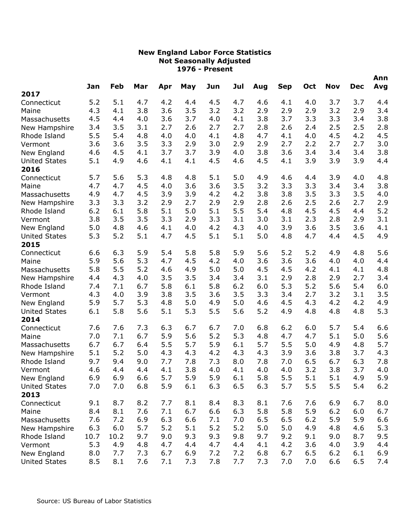|                              |      |      | Mar |     |     |     | Jul |     |            |       | <b>Nov</b> | <b>Dec</b> | Ann |
|------------------------------|------|------|-----|-----|-----|-----|-----|-----|------------|-------|------------|------------|-----|
| 2017                         | Jan  | Feb  |     | Apr | May | Jun |     | Aug | <b>Sep</b> | Oct   |            |            | Avg |
| Connecticut                  | 5.2  | 5.1  | 4.7 | 4.2 | 4.4 | 4.5 | 4.7 | 4.6 | 4.1        | 4.0   | 3.7        | 3.7        | 4.4 |
| Maine                        | 4.3  | 4.1  | 3.8 | 3.6 | 3.5 | 3.2 | 3.2 | 2.9 | 2.9        | 2.9   | 3.2        | 2.9        | 3.4 |
| Massachusetts                | 4.5  | 4.4  | 4.0 | 3.6 | 3.7 | 4.0 | 4.1 | 3.8 | 3.7        | 3.3   | 3.3        | 3.4        | 3.8 |
| New Hampshire                | 3.4  | 3.5  | 3.1 | 2.7 | 2.6 | 2.7 | 2.7 | 2.8 | 2.6        | 2.4   | 2.5        | 2.5        | 2.8 |
| Rhode Island                 | 5.5  | 5.4  | 4.8 | 4.0 | 4.0 | 4.1 | 4.8 | 4.7 | 4.1        | 4.0   | 4.5        | 4.2        | 4.5 |
| Vermont                      | 3.6  | 3.6  | 3.5 | 3.3 | 2.9 | 3.0 | 2.9 | 2.9 | 2.7        | 2.2   | 2.7        | 2.7        | 3.0 |
| New England                  | 4.6  | 4.5  | 4.1 | 3.7 | 3.7 | 3.9 | 4.0 | 3.8 | 3.6        | 3.4   | 3.4        | 3.4        | 3.8 |
| <b>United States</b><br>2016 | 5.1  | 4.9  | 4.6 | 4.1 | 4.1 | 4.5 | 4.6 | 4.5 | 4.1        | 3.9   | 3.9        | 3.9        | 4.4 |
| Connecticut                  | 5.7  | 5.6  | 5.3 | 4.8 | 4.8 | 5.1 | 5.0 | 4.9 | 4.6        | 4.4   | 3.9        | 4.0        | 4.8 |
| Maine                        | 4.7  | 4.7  | 4.5 | 4.0 | 3.6 | 3.6 | 3.5 | 3.2 | 3.3        | 3.3   | 3.4        | 3.4        | 3.8 |
| Massachusetts                | 4.9  | 4.7  | 4.5 | 3.9 | 3.9 | 4.2 | 4.2 | 3.8 | 3.8        | 3.5   | 3.3        | 3.5        | 4.0 |
| New Hampshire                | 3.3  | 3.3  | 3.2 | 2.9 | 2.7 | 2.9 | 2.9 | 2.8 | 2.6        | 2.5   | 2.6        | 2.7        | 2.9 |
| Rhode Island                 | 6.2  | 6.1  | 5.8 | 5.1 | 5.0 | 5.1 | 5.5 | 5.4 | 4.8        | 4.5   | 4.5        | 4.4        | 5.2 |
| Vermont                      | 3.8  | 3.5  | 3.5 | 3.3 | 2.9 | 3.3 | 3.1 | 3.0 | 3.1        | 2.3   | 2.8        | 2.9        | 3.1 |
| New England                  | 5.0  | 4.8  | 4.6 | 4.1 | 4.0 | 4.2 | 4.3 | 4.0 | 3.9        | 3.6   | 3.5        | 3.6        | 4.1 |
| <b>United States</b>         | 5.3  | 5.2  | 5.1 | 4.7 | 4.5 | 5.1 | 5.1 | 5.0 | 4.8        | 4.7   | 4.4        | 4.5        | 4.9 |
| 2015                         |      |      |     |     |     |     |     |     |            |       |            |            |     |
| Connecticut                  | 6.6  | 6.3  | 5.9 | 5.4 | 5.8 | 5.8 | 5.9 | 5.6 | 5.2        | 5.2   | 4.9        | 4.8        | 5.6 |
| Maine                        | 5.9  | 5.6  | 5.3 | 4.7 | 4.5 | 4.2 | 4.0 | 3.6 | 3.6        | 3.6   | 4.0        | 4.0        | 4.4 |
| Massachusetts                | 5.8  | 5.5  | 5.2 | 4.6 | 4.9 | 5.0 | 5.0 | 4.5 | 4.5        | 4.2   | 4.1        | 4.1        | 4.8 |
| New Hampshire                | 4.4  | 4.3  | 4.0 | 3.5 | 3.5 | 3.4 | 3.4 | 3.1 | 2.9        | 2.8   | 2.9        | 2.7        | 3.4 |
| Rhode Island                 | 7.4  | 7.1  | 6.7 | 5.8 | 6.1 | 5.8 | 6.2 | 6.0 | 5.3        | 5.2   | 5.6        | 5.4        | 6.0 |
| Vermont                      | 4.3  | 4.0  | 3.9 | 3.8 | 3.5 | 3.6 | 3.5 | 3.3 | 3.4        | 2.7   | 3.2        | 3.1        | 3.5 |
| New England                  | 5.9  | 5.7  | 5.3 | 4.8 | 5.0 | 4.9 | 5.0 | 4.6 | 4.5        | 4.3   | 4.2        | 4.2        | 4.9 |
| <b>United States</b>         | 6.1  | 5.8  | 5.6 | 5.1 | 5.3 | 5.5 | 5.6 | 5.2 | 4.9        | 4.8   | 4.8        | 4.8        | 5.3 |
| 2014                         |      |      |     |     |     |     |     |     |            |       |            |            |     |
| Connecticut                  | 7.6  | 7.6  | 7.3 | 6.3 | 6.7 | 6.7 | 7.0 | 6.8 | 6.2        | 6.0   | 5.7        | 5.4        | 6.6 |
| Maine                        | 7.0  | 7.1  | 6.7 | 5.9 | 5.6 | 5.2 | 5.3 | 4.8 | 4.7        | 4.7   | 5.1        | 5.0        | 5.6 |
| Massachusetts                | 6.7  | 6.7  | 6.4 | 5.5 | 5.7 | 5.9 | 6.1 | 5.7 | 5.5        | 5.0   | 4.9        | 4.8        | 5.7 |
| New Hampshire                | 5.1  | 5.2  | 5.0 | 4.3 | 4.3 | 4.2 | 4.3 | 4.3 | 3.9        | 3.6   | 3.8        | 3.7        | 4.3 |
| Rhode Island                 | 9.7  | 9.4  | 9.0 | 7.7 | 7.8 | 7.3 | 8.0 | 7.8 | 7.0        | 6.5   | 6.7        | 6.3        | 7.8 |
| Vermont                      | 4.6  | 4.4  | 4.4 | 4.1 | 3.8 | 4.0 | 4.1 | 4.0 | 4.0        | 3.2   | 3.8        | 3.7        | 4.0 |
| New England                  | 6.9  | 6.9  | 6.6 | 5.7 | 5.9 | 5.9 | 6.1 | 5.8 | 5.5        | 5.1   | 5.1        | 4.9        | 5.9 |
| <b>United States</b>         | 7.0  | 7.0  | 6.8 | 5.9 | 6.1 | 6.3 | 6.5 | 6.3 | 5.7        | 5.5   | 5.5        | 5.4        | 6.2 |
| 2013                         |      |      |     |     |     |     |     |     |            |       |            |            |     |
| Connecticut                  | 9.1  | 8.7  | 8.2 | 7.7 | 8.1 | 8.4 | 8.3 | 8.1 | 7.6        | 7.6   | 6.9        | 6.7        | 8.0 |
| Maine                        | 8.4  | 8.1  | 7.6 | 7.1 | 6.7 | 6.6 | 6.3 | 5.8 | 5.8        | 5.9   | 6.2        | 6.0        | 6.7 |
| Massachusetts                | 7.6  | 7.2  | 6.9 | 6.3 | 6.6 | 7.1 | 7.0 | 6.5 | 6.5        | $6.2$ | 5.9        | 5.9        | 6.6 |
| New Hampshire                | 6.3  | 6.0  | 5.7 | 5.2 | 5.1 | 5.2 | 5.2 | 5.0 | 5.0        | 4.9   | 4.8        | 4.6        | 5.3 |
| Rhode Island                 | 10.7 | 10.2 | 9.7 | 9.0 | 9.3 | 9.3 | 9.8 | 9.7 | 9.2        | 9.1   | 9.0        | 8.7        | 9.5 |
| Vermont                      | 5.3  | 4.9  | 4.8 | 4.7 | 4.4 | 4.7 | 4.4 | 4.1 | 4.2        | 3.6   | 4.0        | 3.9        | 4.4 |
| New England                  | 8.0  | 7.7  | 7.3 | 6.7 | 6.9 | 7.2 | 7.2 | 6.8 | 6.7        | 6.5   | 6.2        | 6.1        | 6.9 |
| <b>United States</b>         | 8.5  | 8.1  | 7.6 | 7.1 | 7.3 | 7.8 | 7.7 | 7.3 | 7.0        | 7.0   | 6.6        | 6.5        | 7.4 |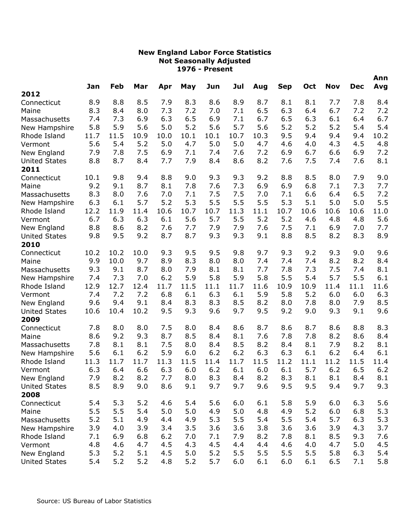|                      | Jan  | Feb  | Mar  |      | May  | Jun  | Jul  | Aug  | <b>Sep</b> | Oct  | <b>Nov</b> | <b>Dec</b> | Ann<br>Avg |
|----------------------|------|------|------|------|------|------|------|------|------------|------|------------|------------|------------|
| 2012                 |      |      |      | Apr  |      |      |      |      |            |      |            |            |            |
| Connecticut          | 8.9  | 8.8  | 8.5  | 7.9  | 8.3  | 8.6  | 8.9  | 8.7  | 8.1        | 8.1  | 7.7        | 7.8        | 8.4        |
| Maine                | 8.3  | 8.4  | 8.0  | 7.3  | 7.2  | 7.0  | 7.1  | 6.5  | 6.3        | 6.4  | 6.7        | 7.2        | 7.2        |
| Massachusetts        | 7.4  | 7.3  | 6.9  | 6.3  | 6.5  | 6.9  | 7.1  | 6.7  | 6.5        | 6.3  | 6.1        | 6.4        | 6.7        |
| New Hampshire        | 5.8  | 5.9  | 5.6  | 5.0  | 5.2  | 5.6  | 5.7  | 5.6  | 5.2        | 5.2  | 5.2        | 5.4        | 5.4        |
| Rhode Island         | 11.7 | 11.5 | 10.9 | 10.0 | 10.1 | 10.1 | 10.7 | 10.3 | 9.5        | 9.4  | 9.4        | 9.4        | 10.2       |
| Vermont              | 5.6  | 5.4  | 5.2  | 5.0  | 4.7  | 5.0  | 5.0  | 4.7  | 4.6        | 4.0  | 4.3        | 4.5        | 4.8        |
| New England          | 7.9  | 7.8  | 7.5  | 6.9  | 7.1  | 7.4  | 7.6  | 7.2  | 6.9        | 6.7  | 6.6        | 6.9        | 7.2        |
| <b>United States</b> | 8.8  | 8.7  | 8.4  | 7.7  | 7.9  | 8.4  | 8.6  | 8.2  | 7.6        | 7.5  | 7.4        | 7.6        | 8.1        |
| 2011                 |      |      |      |      |      |      |      |      |            |      |            |            |            |
| Connecticut          | 10.1 | 9.8  | 9.4  | 8.8  | 9.0  | 9.3  | 9.3  | 9.2  | 8.8        | 8.5  | 8.0        | 7.9        | 9.0        |
| Maine                | 9.2  | 9.1  | 8.7  | 8.1  | 7.8  | 7.6  | 7.3  | 6.9  | 6.9        | 6.8  | 7.1        | 7.3        | 7.7        |
| Massachusetts        | 8.3  | 8.0  | 7.6  | 7.0  | 7.1  | 7.5  | 7.5  | 7.0  | 7.1        | 6.6  | 6.4        | 6.5        | 7.2        |
| New Hampshire        | 6.3  | 6.1  | 5.7  | 5.2  | 5.3  | 5.5  | 5.5  | 5.5  | 5.3        | 5.1  | 5.0        | 5.0        | 5.5        |
| Rhode Island         | 12.2 | 11.9 | 11.4 | 10.6 | 10.7 | 10.7 | 11.3 | 11.1 | 10.7       | 10.6 | 10.6       | 10.6       | 11.0       |
| Vermont              | 6.7  | 6.3  | 6.3  | 6.1  | 5.6  | 5.7  | 5.5  | 5.2  | 5.2        | 4.6  | 4.8        | 4.8        | 5.6        |
| New England          | 8.8  | 8.6  | 8.2  | 7.6  | 7.7  | 7.9  | 7.9  | 7.6  | 7.5        | 7.1  | 6.9        | 7.0        | 7.7        |
| <b>United States</b> | 9.8  | 9.5  | 9.2  | 8.7  | 8.7  | 9.3  | 9.3  | 9.1  | 8.8        | 8.5  | 8.2        | 8.3        | 8.9        |
| 2010                 |      |      |      |      |      |      |      |      |            |      |            |            |            |
| Connecticut          | 10.2 | 10.2 | 10.0 | 9.3  | 9.5  | 9.5  | 9.8  | 9.7  | 9.3        | 9.2  | 9.3        | 9.0        | 9.6        |
| Maine                | 9.9  | 10.0 | 9.7  | 8.9  | 8.3  | 8.0  | 8.0  | 7.4  | 7.4        | 7.4  | 8.2        | 8.2        | 8.4        |
| Massachusetts        | 9.3  | 9.1  | 8.7  | 8.0  | 7.9  | 8.1  | 8.1  | 7.7  | 7.8        | 7.3  | 7.5        | 7.4        | 8.1        |
| New Hampshire        | 7.4  | 7.3  | 7.0  | 6.2  | 5.9  | 5.8  | 5.9  | 5.8  | 5.5        | 5.4  | 5.7        | 5.5        | 6.1        |
| Rhode Island         | 12.9 | 12.7 | 12.4 | 11.7 | 11.5 | 11.1 | 11.7 | 11.6 | 10.9       | 10.9 | 11.4       | 11.1       | 11.6       |
| Vermont              | 7.4  | 7.2  | 7.2  | 6.8  | 6.1  | 6.3  | 6.1  | 5.9  | 5.8        | 5.2  | 6.0        | 6.0        | 6.3        |
| New England          | 9.6  | 9.4  | 9.1  | 8.4  | 8.3  | 8.3  | 8.5  | 8.2  | 8.0        | 7.8  | 8.0        | 7.9        | 8.5        |
| <b>United States</b> | 10.6 | 10.4 | 10.2 | 9.5  | 9.3  | 9.6  | 9.7  | 9.5  | 9.2        | 9.0  | 9.3        | 9.1        | 9.6        |
| 2009                 |      |      |      |      |      |      |      |      |            |      |            |            |            |
| Connecticut          | 7.8  | 8.0  | 8.0  | 7.5  | 8.0  | 8.4  | 8.6  | 8.7  | 8.6        | 8.7  | 8.6        | 8.8        | 8.3        |
| Maine                | 8.6  | 9.2  | 9.3  | 8.7  | 8.5  | 8.4  | 8.1  | 7.6  | 7.8        | 7.8  | 8.2        | 8.6        | 8.4        |
| Massachusetts        | 7.8  | 8.1  | 8.1  | 7.5  | 8.0  | 8.4  | 8.5  | 8.2  | 8.4        | 8.1  | 7.9        | 8.2        | 8.1        |
| New Hampshire        | 5.6  | 6.1  | 6.2  | 5.9  | 6.0  | 6.2  | 6.2  | 6.3  | 6.3        | 6.1  | 6.2        | 6.4        | 6.1        |
| Rhode Island         | 11.3 | 11.7 | 11.7 | 11.3 | 11.5 | 11.4 | 11.7 | 11.5 | 11.2       | 11.1 | 11.2       | 11.5       | 11.4       |
| Vermont              | 6.3  | 6.4  | 6.6  | 6.3  | 6.0  | 6.2  | 6.1  | 6.0  | 6.1        | 5.7  | 6.2        | 6.5        | 6.2        |
| New England          | 7.9  | 8.2  | 8.2  | 7.7  | 8.0  | 8.3  | 8.4  | 8.2  | 8.3        | 8.1  | 8.1        | 8.4        | 8.1        |
| <b>United States</b> | 8.5  | 8.9  | 9.0  | 8.6  | 9.1  | 9.7  | 9.7  | 9.6  | 9.5        | 9.5  | 9.4        | 9.7        | 9.3        |
| 2008                 |      |      |      |      |      |      |      |      |            |      |            |            |            |
| Connecticut          | 5.4  | 5.3  | 5.2  | 4.6  | 5.4  | 5.6  | 6.0  | 6.1  | 5.8        | 5.9  | 6.0        | 6.3        | 5.6        |
| Maine                | 5.5  | 5.5  | 5.4  | 5.0  | 5.0  | 4.9  | 5.0  | 4.8  | 4.9        | 5.2  | 6.0        | 6.8        | 5.3        |
| Massachusetts        | 5.2  | 5.1  | 4.9  | 4.4  | 4.9  | 5.3  | 5.5  | 5.4  | 5.5        | 5.4  | 5.7        | 6.3        | 5.3        |
| New Hampshire        | 3.9  | 4.0  | 3.9  | 3.4  | 3.5  | 3.6  | 3.6  | 3.8  | 3.6        | 3.6  | 3.9        | 4.3        | 3.7        |
| Rhode Island         | 7.1  | 6.9  | 6.8  | 6.2  | 7.0  | 7.1  | 7.9  | 8.2  | 7.8        | 8.1  | 8.5        | 9.3        | 7.6        |
| Vermont              | 4.8  | 4.6  | 4.7  | 4.5  | 4.3  | 4.5  | 4.4  | 4.4  | 4.6        | 4.0  | 4.7        | 5.0        | 4.5        |
| New England          | 5.3  | 5.2  | 5.1  | 4.5  | 5.0  | 5.2  | 5.5  | 5.5  | 5.5        | 5.5  | 5.8        | 6.3        | 5.4        |
| <b>United States</b> | 5.4  | 5.2  | 5.2  | 4.8  | 5.2  | 5.7  | 6.0  | 6.1  | 6.0        | 6.1  | 6.5        | 7.1        | 5.8        |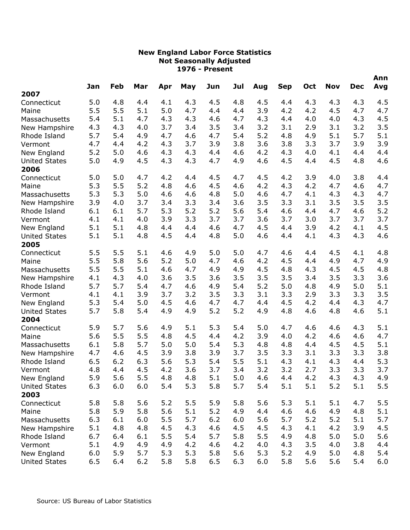|                      |     |     |     |     |     |       | Jul |     |            |     | <b>Nov</b> | <b>Dec</b> | Ann |
|----------------------|-----|-----|-----|-----|-----|-------|-----|-----|------------|-----|------------|------------|-----|
| 2007                 | Jan | Feb | Mar | Apr | May | Jun   |     | Aug | <b>Sep</b> | Oct |            |            | Avg |
| Connecticut          | 5.0 | 4.8 | 4.4 | 4.1 | 4.3 | 4.5   | 4.8 | 4.5 | 4.4        | 4.3 | 4.3        | 4.3        | 4.5 |
| Maine                | 5.5 | 5.5 | 5.1 | 5.0 | 4.7 | 4.4   | 4.4 | 3.9 | 4.2        | 4.2 | 4.5        | 4.7        | 4.7 |
| Massachusetts        | 5.4 | 5.1 | 4.7 | 4.3 | 4.3 | 4.6   | 4.7 | 4.3 | 4.4        | 4.0 | 4.0        | 4.3        | 4.5 |
| New Hampshire        | 4.3 | 4.3 | 4.0 | 3.7 | 3.4 | 3.5   | 3.4 | 3.2 | 3.1        | 2.9 | 3.1        | 3.2        | 3.5 |
| Rhode Island         | 5.7 | 5.4 | 4.9 | 4.7 | 4.6 | 4.7   | 5.4 | 5.2 | 4.8        | 4.9 | 5.1        | 5.7        | 5.1 |
| Vermont              | 4.7 | 4.4 | 4.2 | 4.3 | 3.7 | 3.9   | 3.8 | 3.6 | 3.8        | 3.3 | 3.7        | 3.9        | 3.9 |
| New England          | 5.2 | 5.0 | 4.6 | 4.3 | 4.3 | 4.4   | 4.6 | 4.2 | 4.3        | 4.0 | 4.1        | 4.4        | 4.4 |
| <b>United States</b> | 5.0 | 4.9 | 4.5 | 4.3 | 4.3 | 4.7   | 4.9 | 4.6 | 4.5        | 4.4 | 4.5        | 4.8        | 4.6 |
| 2006                 |     |     |     |     |     |       |     |     |            |     |            |            |     |
| Connecticut          | 5.0 | 5.0 | 4.7 | 4.2 | 4.4 | 4.5   | 4.7 | 4.5 | 4.2        | 3.9 | 4.0        | 3.8        | 4.4 |
| Maine                | 5.3 | 5.5 | 5.2 | 4.8 | 4.6 | 4.5   | 4.6 | 4.2 | 4.3        | 4.2 | 4.7        | 4.6        | 4.7 |
| Massachusetts        | 5.3 | 5.3 | 5.0 | 4.6 | 4.6 | 4.8   | 5.0 | 4.6 | 4.7        | 4.1 | 4.3        | 4.3        | 4.7 |
| New Hampshire        | 3.9 | 4.0 | 3.7 | 3.4 | 3.3 | 3.4   | 3.6 | 3.5 | 3.3        | 3.1 | 3.5        | 3.5        | 3.5 |
| Rhode Island         | 6.1 | 6.1 | 5.7 | 5.3 | 5.2 | 5.2   | 5.6 | 5.4 | 4.6        | 4.4 | 4.7        | 4.6        | 5.2 |
| Vermont              | 4.1 | 4.1 | 4.0 | 3.9 | 3.3 | 3.7   | 3.7 | 3.6 | 3.7        | 3.0 | 3.7        | 3.7        | 3.7 |
| New England          | 5.1 | 5.1 | 4.8 | 4.4 | 4.4 | 4.6   | 4.7 | 4.5 | 4.4        | 3.9 | 4.2        | 4.1        | 4.5 |
| <b>United States</b> | 5.1 | 5.1 | 4.8 | 4.5 | 4.4 | 4.8   | 5.0 | 4.6 | 4.4        | 4.1 | 4.3        | 4.3        | 4.6 |
| 2005                 |     |     |     |     |     |       |     |     |            |     |            |            |     |
| Connecticut          | 5.5 | 5.5 | 5.1 | 4.6 | 4.9 | 5.0   | 5.0 | 4.7 | 4.6        | 4.4 | 4.5        | 4.1        | 4.8 |
| Maine                | 5.5 | 5.8 | 5.6 | 5.2 | 5.0 | 4.7   | 4.6 | 4.2 | 4.5        | 4.4 | 4.9        | 4.7        | 4.9 |
| Massachusetts        | 5.5 | 5.5 | 5.1 | 4.6 | 4.7 | 4.9   | 4.9 | 4.5 | 4.8        | 4.3 | 4.5        | 4.5        | 4.8 |
| New Hampshire        | 4.1 | 4.3 | 4.0 | 3.6 | 3.5 | 3.6   | 3.5 | 3.5 | 3.5        | 3.4 | 3.5        | 3.3        | 3.6 |
| Rhode Island         | 5.7 | 5.7 | 5.4 | 4.7 | 4.6 | 4.9   | 5.4 | 5.2 | 5.0        | 4.8 | 4.9        | 5.0        | 5.1 |
| Vermont              | 4.1 | 4.1 | 3.9 | 3.7 | 3.2 | 3.5   | 3.3 | 3.1 | 3.3        | 2.9 | 3.3        | 3.3        | 3.5 |
| New England          | 5.3 | 5.4 | 5.0 | 4.5 | 4.6 | 4.7   | 4.7 | 4.4 | 4.5        | 4.2 | 4.4        | 4.3        | 4.7 |
| <b>United States</b> | 5.7 | 5.8 | 5.4 | 4.9 | 4.9 | 5.2   | 5.2 | 4.9 | 4.8        | 4.6 | 4.8        | 4.6        | 5.1 |
| 2004                 |     |     |     |     |     |       |     |     |            |     |            |            |     |
| Connecticut          | 5.9 | 5.7 | 5.6 | 4.9 | 5.1 | 5.3   | 5.4 | 5.0 | 4.7        | 4.6 | 4.6        | 4.3        | 5.1 |
| Maine                | 5.6 | 5.5 | 5.5 | 4.8 | 4.5 | 4.4   | 4.2 | 3.9 | 4.0        | 4.2 | 4.6        | 4.6        | 4.7 |
| Massachusetts        | 6.1 | 5.8 | 5.7 | 5.0 | 5.0 | 5.4   | 5.3 | 4.8 | 4.8        | 4.4 | 4.5        | 4.5        | 5.1 |
| New Hampshire        | 4.7 | 4.6 | 4.5 | 3.9 | 3.8 | 3.9   | 3.7 | 3.5 | 3.3        | 3.1 | 3.3        | 3.3        | 3.8 |
| Rhode Island         | 6.5 | 6.2 | 6.3 | 5.6 | 5.3 | 5.4   | 5.5 | 5.1 | 4.3        | 4.1 | 4.3        | 4.4        | 5.3 |
| Vermont              | 4.8 | 4.4 | 4.5 | 4.2 | 3.6 | 3.7   | 3.4 | 3.2 | 3.2        | 2.7 | 3.3        | 3.3        | 3.7 |
| New England          | 5.9 | 5.6 | 5.5 | 4.8 | 4.8 | 5.1   | 5.0 | 4.6 | 4.4        | 4.2 | 4.3        | 4.3        | 4.9 |
| <b>United States</b> | 6.3 | 6.0 | 6.0 | 5.4 | 5.3 | 5.8   | 5.7 | 5.4 | 5.1        | 5.1 | 5.2        | 5.1        | 5.5 |
| 2003                 |     |     |     |     |     |       |     |     |            |     |            |            |     |
| Connecticut          | 5.8 | 5.8 | 5.6 | 5.2 | 5.5 | 5.9   | 5.8 | 5.6 | 5.3        | 5.1 | 5.1        | 4.7        | 5.5 |
| Maine                | 5.8 | 5.9 | 5.8 | 5.6 | 5.1 | 5.2   | 4.9 | 4.4 | 4.6        | 4.6 | 4.9        | 4.8        | 5.1 |
| Massachusetts        | 6.3 | 6.1 | 6.0 | 5.5 | 5.7 | $6.2$ | 6.0 | 5.6 | 5.7        | 5.2 | 5.2        | 5.1        | 5.7 |
| New Hampshire        | 5.1 | 4.8 | 4.8 | 4.5 | 4.3 | 4.6   | 4.5 | 4.5 | 4.3        | 4.1 | 4.2        | 3.9        | 4.5 |
| Rhode Island         | 6.7 | 6.4 | 6.1 | 5.5 | 5.4 | 5.7   | 5.8 | 5.5 | 4.9        | 4.8 | 5.0        | 5.0        | 5.6 |
| Vermont              | 5.1 | 4.9 | 4.9 | 4.9 | 4.2 | 4.6   | 4.2 | 4.0 | 4.3        | 3.5 | 4.0        | 3.8        | 4.4 |
| New England          | 6.0 | 5.9 | 5.7 | 5.3 | 5.3 | 5.8   | 5.6 | 5.3 | 5.2        | 4.9 | 5.0        | 4.8        | 5.4 |
| <b>United States</b> | 6.5 | 6.4 | 6.2 | 5.8 | 5.8 | 6.5   | 6.3 | 6.0 | 5.8        | 5.6 | 5.6        | 5.4        | 6.0 |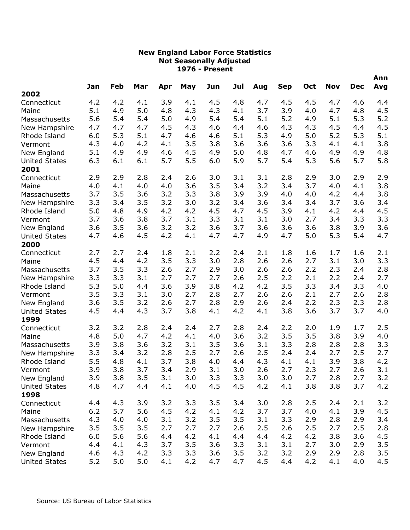|                      |     | Feb | Mar |     |     |     | Jul |     |            | Oct | <b>Nov</b> | <b>Dec</b> | Ann |
|----------------------|-----|-----|-----|-----|-----|-----|-----|-----|------------|-----|------------|------------|-----|
| 2002                 | Jan |     |     | Apr | May | Jun |     | Aug | <b>Sep</b> |     |            |            | Avg |
| Connecticut          | 4.2 | 4.2 | 4.1 | 3.9 | 4.1 | 4.5 | 4.8 | 4.7 | 4.5        | 4.5 | 4.7        | 4.6        | 4.4 |
| Maine                | 5.1 | 4.9 | 5.0 | 4.8 | 4.3 | 4.3 | 4.1 | 3.7 | 3.9        | 4.0 | 4.7        | 4.8        | 4.5 |
| Massachusetts        | 5.6 | 5.4 | 5.4 | 5.0 | 4.9 | 5.4 | 5.4 | 5.1 | 5.2        | 4.9 | 5.1        | 5.3        | 5.2 |
| New Hampshire        | 4.7 | 4.7 | 4.7 | 4.5 | 4.3 | 4.6 | 4.4 | 4.6 | 4.3        | 4.3 | 4.5        | 4.4        | 4.5 |
| Rhode Island         | 6.0 | 5.3 | 5.1 | 4.7 | 4.6 | 4.6 | 5.1 | 5.3 | 4.9        | 5.0 | 5.2        | 5.3        | 5.1 |
| Vermont              | 4.3 | 4.0 | 4.2 | 4.1 | 3.5 | 3.8 | 3.6 | 3.6 | 3.6        | 3.3 | 4.1        | 4.1        | 3.8 |
| New England          | 5.1 | 4.9 | 4.9 | 4.6 | 4.5 | 4.9 | 5.0 | 4.8 | 4.7        | 4.6 | 4.9        | 4.9        | 4.8 |
| <b>United States</b> | 6.3 | 6.1 | 6.1 | 5.7 | 5.5 | 6.0 | 5.9 | 5.7 | 5.4        | 5.3 | 5.6        | 5.7        | 5.8 |
| 2001                 |     |     |     |     |     |     |     |     |            |     |            |            |     |
| Connecticut          | 2.9 | 2.9 | 2.8 | 2.4 | 2.6 | 3.0 | 3.1 | 3.1 | 2.8        | 2.9 | 3.0        | 2.9        | 2.9 |
| Maine                | 4.0 | 4.1 | 4.0 | 4.0 | 3.6 | 3.5 | 3.4 | 3.2 | 3.4        | 3.7 | 4.0        | 4.1        | 3.8 |
| Massachusetts        | 3.7 | 3.5 | 3.6 | 3.2 | 3.3 | 3.8 | 3.9 | 3.9 | 4.0        | 4.0 | 4.2        | 4.4        | 3.8 |
| New Hampshire        | 3.3 | 3.4 | 3.5 | 3.2 | 3.0 | 3.2 | 3.4 | 3.6 | 3.4        | 3.4 | 3.7        | 3.6        | 3.4 |
| Rhode Island         | 5.0 | 4.8 | 4.9 | 4.2 | 4.2 | 4.5 | 4.7 | 4.5 | 3.9        | 4.1 | 4.2        | 4.4        | 4.5 |
| Vermont              | 3.7 | 3.6 | 3.8 | 3.7 | 3.1 | 3.3 | 3.1 | 3.1 | 3.0        | 2.7 | 3.4        | 3.3        | 3.3 |
| New England          | 3.6 | 3.5 | 3.6 | 3.2 | 3.2 | 3.6 | 3.7 | 3.6 | 3.6        | 3.6 | 3.8        | 3.9        | 3.6 |
| <b>United States</b> | 4.7 | 4.6 | 4.5 | 4.2 | 4.1 | 4.7 | 4.7 | 4.9 | 4.7        | 5.0 | 5.3        | 5.4        | 4.7 |
| 2000                 |     |     |     |     |     |     |     |     |            |     |            |            |     |
| Connecticut          | 2.7 | 2.7 | 2.4 | 1.8 | 2.1 | 2.2 | 2.4 | 2.1 | 1.8        | 1.6 | 1.7        | 1.6        | 2.1 |
| Maine                | 4.5 | 4.4 | 4.2 | 3.5 | 3.3 | 3.0 | 2.8 | 2.6 | 2.6        | 2.7 | 3.1        | 3.0        | 3.3 |
| Massachusetts        | 3.7 | 3.5 | 3.3 | 2.6 | 2.7 | 2.9 | 3.0 | 2.6 | 2.6        | 2.2 | 2.3        | 2.4        | 2.8 |
| New Hampshire        | 3.3 | 3.3 | 3.1 | 2.7 | 2.7 | 2.7 | 2.6 | 2.5 | 2.2        | 2.1 | 2.2        | 2.4        | 2.7 |
| Rhode Island         | 5.3 | 5.0 | 4.4 | 3.6 | 3.9 | 3.8 | 4.2 | 4.2 | 3.5        | 3.3 | 3.4        | 3.3        | 4.0 |
| Vermont              | 3.5 | 3.3 | 3.1 | 3.0 | 2.7 | 2.8 | 2.7 | 2.6 | 2.6        | 2.1 | 2.7        | 2.6        | 2.8 |
| New England          | 3.6 | 3.5 | 3.2 | 2.6 | 2.7 | 2.8 | 2.9 | 2.6 | 2.4        | 2.2 | 2.3        | 2.3        | 2.8 |
| <b>United States</b> | 4.5 | 4.4 | 4.3 | 3.7 | 3.8 | 4.1 | 4.2 | 4.1 | 3.8        | 3.6 | 3.7        | 3.7        | 4.0 |
| 1999                 |     |     |     |     |     |     |     |     |            |     |            |            |     |
| Connecticut          | 3.2 | 3.2 | 2.8 | 2.4 | 2.4 | 2.7 | 2.8 | 2.4 | 2.2        | 2.0 | 1.9        | 1.7        | 2.5 |
| Maine                | 4.8 | 5.0 | 4.7 | 4.2 | 4.1 | 4.0 | 3.6 | 3.2 | 3.5        | 3.5 | 3.8        | 3.9        | 4.0 |
| Massachusetts        | 3.9 | 3.8 | 3.6 | 3.2 | 3.1 | 3.5 | 3.6 | 3.1 | 3.3        | 2.8 | 2.8        | 2.8        | 3.3 |
| New Hampshire        | 3.3 | 3.4 | 3.2 | 2.8 | 2.5 | 2.7 | 2.6 | 2.5 | 2.4        | 2.4 | 2.7        | 2.5        | 2.7 |
| Rhode Island         | 5.5 | 4.8 | 4.1 | 3.7 | 3.8 | 4.0 | 4.4 | 4.3 | 4.1        | 4.1 | 3.9        | 3.8        | 4.2 |
| Vermont              | 3.9 | 3.8 | 3.7 | 3.4 | 2.9 | 3.1 | 3.0 | 2.6 | 2.7        | 2.3 | 2.7        | 2.6        | 3.1 |
| New England          | 3.9 | 3.8 | 3.5 | 3.1 | 3.0 | 3.3 | 3.3 | 3.0 | 3.0        | 2.7 | 2.8        | 2.7        | 3.2 |
| <b>United States</b> | 4.8 | 4.7 | 4.4 | 4.1 | 4.0 | 4.5 | 4.5 | 4.2 | 4.1        | 3.8 | 3.8        | 3.7        | 4.2 |
| 1998                 |     |     |     |     |     |     |     |     |            |     |            |            |     |
| Connecticut          | 4.4 | 4.3 | 3.9 | 3.2 | 3.3 | 3.5 | 3.4 | 3.0 | 2.8        | 2.5 | 2.4        | 2.1        | 3.2 |
| Maine                | 6.2 | 5.7 | 5.6 | 4.5 | 4.2 | 4.1 | 4.2 | 3.7 | 3.7        | 4.0 | 4.1        | 3.9        | 4.5 |
| Massachusetts        | 4.3 | 4.0 | 4.0 | 3.1 | 3.2 | 3.5 | 3.5 | 3.1 | 3.3        | 2.9 | 2.8        | 2.9        | 3.4 |
| New Hampshire        | 3.5 | 3.5 | 3.5 | 2.7 | 2.7 | 2.7 | 2.6 | 2.5 | 2.6        | 2.5 | 2.7        | 2.5        | 2.8 |
| Rhode Island         | 6.0 | 5.6 | 5.6 | 4.4 | 4.2 | 4.1 | 4.4 | 4.4 | 4.2        | 4.2 | 3.8        | 3.6        | 4.5 |
| Vermont              | 4.4 | 4.1 | 4.3 | 3.7 | 3.5 | 3.6 | 3.3 | 3.1 | 3.1        | 2.7 | 3.0        | 2.9        | 3.5 |
| New England          | 4.6 | 4.3 | 4.2 | 3.3 | 3.3 | 3.6 | 3.5 | 3.2 | 3.2        | 2.9 | 2.9        | 2.8        | 3.5 |
| <b>United States</b> | 5.2 | 5.0 | 5.0 | 4.1 | 4.2 | 4.7 | 4.7 | 4.5 | 4.4        | 4.2 | 4.1        | 4.0        | 4.5 |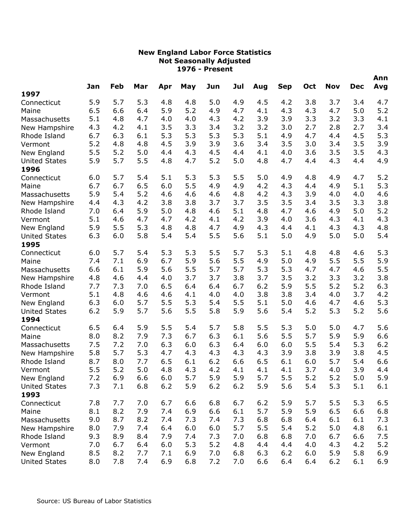|                              | Jan | Feb | Mar |     | May | Jun | Jul |     | <b>Sep</b> | Oct | <b>Nov</b> | <b>Dec</b> | Ann<br>Avg |
|------------------------------|-----|-----|-----|-----|-----|-----|-----|-----|------------|-----|------------|------------|------------|
| 1997                         |     |     |     | Apr |     |     |     | Aug |            |     |            |            |            |
| Connecticut                  | 5.9 | 5.7 | 5.3 | 4.8 | 4.8 | 5.0 | 4.9 | 4.5 | 4.2        | 3.8 | 3.7        | 3.4        | 4.7        |
| Maine                        | 6.5 | 6.6 | 6.4 | 5.9 | 5.2 | 4.9 | 4.7 | 4.1 | 4.3        | 4.3 | 4.7        | 5.0        | 5.2        |
| Massachusetts                | 5.1 | 4.8 | 4.7 | 4.0 | 4.0 | 4.3 | 4.2 | 3.9 | 3.9        | 3.3 | 3.2        | 3.3        | 4.1        |
| New Hampshire                | 4.3 | 4.2 | 4.1 | 3.5 | 3.3 | 3.4 | 3.2 | 3.2 | 3.0        | 2.7 | 2.8        | 2.7        | 3.4        |
| Rhode Island                 | 6.7 | 6.3 | 6.1 | 5.3 | 5.3 | 5.3 | 5.3 | 5.1 | 4.9        | 4.7 | 4.4        | 4.5        | 5.3        |
| Vermont                      | 5.2 | 4.8 | 4.8 | 4.5 | 3.9 | 3.9 | 3.6 | 3.4 | 3.5        | 3.0 | 3.4        | 3.5        | 3.9        |
| New England                  | 5.5 | 5.2 | 5.0 | 4.4 | 4.3 | 4.5 | 4.4 | 4.1 | 4.0        | 3.6 | 3.5        | 3.5        | 4.3        |
| <b>United States</b><br>1996 | 5.9 | 5.7 | 5.5 | 4.8 | 4.7 | 5.2 | 5.0 | 4.8 | 4.7        | 4.4 | 4.3        | 4.4        | 4.9        |
| Connecticut                  | 6.0 | 5.7 | 5.4 | 5.1 | 5.3 | 5.3 | 5.5 | 5.0 | 4.9        | 4.8 | 4.9        | 4.7        | 5.2        |
| Maine                        | 6.7 | 6.7 | 6.5 | 6.0 | 5.5 | 4.9 | 4.9 | 4.2 | 4.3        | 4.4 | 4.9        | 5.1        | 5.3        |
| Massachusetts                | 5.9 | 5.4 | 5.2 | 4.6 | 4.6 | 4.6 | 4.8 | 4.2 | 4.3        | 3.9 | 4.0        | 4.0        | 4.6        |
| New Hampshire                | 4.4 | 4.3 | 4.2 | 3.8 | 3.8 | 3.7 | 3.7 | 3.5 | 3.5        | 3.4 | 3.5        | 3.3        | 3.8        |
| Rhode Island                 | 7.0 | 6.4 | 5.9 | 5.0 | 4.8 | 4.6 | 5.1 | 4.8 | 4.7        | 4.6 | 4.9        | 5.0        | 5.2        |
| Vermont                      | 5.1 | 4.6 | 4.7 | 4.7 | 4.2 | 4.1 | 4.2 | 3.9 | 4.0        | 3.6 | 4.3        | 4.1        | 4.3        |
| New England                  | 5.9 | 5.5 | 5.3 | 4.8 | 4.8 | 4.7 | 4.9 | 4.3 | 4.4        | 4.1 | 4.3        | 4.3        | 4.8        |
| <b>United States</b><br>1995 | 6.3 | 6.0 | 5.8 | 5.4 | 5.4 | 5.5 | 5.6 | 5.1 | 5.0        | 4.9 | 5.0        | 5.0        | 5.4        |
| Connecticut                  | 6.0 | 5.7 | 5.4 | 5.3 | 5.3 | 5.5 | 5.7 | 5.3 | 5.1        | 4.8 | 4.8        | 4.6        | 5.3        |
| Maine                        | 7.4 | 7.1 | 6.9 | 6.7 | 5.9 | 5.6 | 5.5 | 4.9 | 5.0        | 4.9 | 5.5        | 5.5        | 5.9        |
| Massachusetts                | 6.6 | 6.1 | 5.9 | 5.6 | 5.5 | 5.7 | 5.7 | 5.3 | 5.3        | 4.7 | 4.7        | 4.6        | 5.5        |
| New Hampshire                | 4.8 | 4.6 | 4.4 | 4.0 | 3.7 | 3.7 | 3.8 | 3.7 | 3.5        | 3.2 | 3.3        | 3.2        | 3.8        |
| Rhode Island                 | 7.7 | 7.3 | 7.0 | 6.5 | 6.4 | 6.4 | 6.7 | 6.2 | 5.9        | 5.5 | 5.2        | 5.2        | 6.3        |
| Vermont                      | 5.1 | 4.8 | 4.6 | 4.6 | 4.1 | 4.0 | 4.0 | 3.8 | 3.8        | 3.4 | 4.0        | 3.7        | 4.2        |
| New England                  | 6.3 | 6.0 | 5.7 | 5.5 | 5.3 | 5.4 | 5.5 | 5.1 | 5.0        | 4.6 | 4.7        | 4.6        | 5.3        |
| <b>United States</b><br>1994 | 6.2 | 5.9 | 5.7 | 5.6 | 5.5 | 5.8 | 5.9 | 5.6 | 5.4        | 5.2 | 5.3        | 5.2        | 5.6        |
| Connecticut                  | 6.5 | 6.4 | 5.9 | 5.5 | 5.4 | 5.7 | 5.8 | 5.5 | 5.3        | 5.0 | 5.0        | 4.7        | 5.6        |
| Maine                        | 8.0 | 8.2 | 7.9 | 7.3 | 6.7 | 6.3 | 6.1 | 5.6 | 5.5        | 5.7 | 5.9        | 5.9        | 6.6        |
| Massachusetts                | 7.5 | 7.2 | 7.0 | 6.3 | 6.0 | 6.3 | 6.4 | 6.0 | 6.0        | 5.5 | 5.4        | 5.3        | 6.2        |
| New Hampshire                | 5.8 | 5.7 | 5.3 | 4.7 | 4.3 | 4.3 | 4.3 | 4.3 | 3.9        | 3.8 | 3.9        | 3.8        | 4.5        |
| Rhode Island                 | 8.7 | 8.0 | 7.7 | 6.5 | 6.1 | 6.2 | 6.6 | 6.5 | 6.1        | 6.0 | 5.7        | 5.4        | 6.6        |
| Vermont                      | 5.5 | 5.2 | 5.0 | 4.8 | 4.3 | 4.2 | 4.1 | 4.1 | 4.1        | 3.7 | 4.0        | 3.9        | 4.4        |
| New England                  | 7.2 | 6.9 | 6.6 | 6.0 | 5.7 | 5.9 | 5.9 | 5.7 | 5.5        | 5.2 | 5.2        | 5.0        | 5.9        |
| <b>United States</b>         | 7.3 | 7.1 | 6.8 | 6.2 | 5.9 | 6.2 | 6.2 | 5.9 | 5.6        | 5.4 | 5.3        | 5.1        | 6.1        |
| 1993                         |     |     |     |     |     |     |     |     |            |     |            |            |            |
| Connecticut                  | 7.8 | 7.7 | 7.0 | 6.7 | 6.6 | 6.8 | 6.7 | 6.2 | 5.9        | 5.7 | 5.5        | 5.3        | 6.5        |
| Maine                        | 8.1 | 8.2 | 7.9 | 7.4 | 6.9 | 6.6 | 6.1 | 5.7 | 5.9        | 5.9 | 6.5        | 6.6        | 6.8        |
| Massachusetts                | 9.0 | 8.7 | 8.2 | 7.4 | 7.3 | 7.4 | 7.3 | 6.8 | 6.8        | 6.4 | 6.1        | 6.1        | 7.3        |
| New Hampshire                | 8.0 | 7.9 | 7.4 | 6.4 | 6.0 | 6.0 | 5.7 | 5.5 | 5.4        | 5.2 | 5.0        | 4.8        | 6.1        |
| Rhode Island                 | 9.3 | 8.9 | 8.4 | 7.9 | 7.4 | 7.3 | 7.0 | 6.8 | 6.8        | 7.0 | 6.7        | 6.6        | 7.5        |
| Vermont                      | 7.0 | 6.7 | 6.4 | 6.0 | 5.3 | 5.2 | 4.8 | 4.4 | 4.4        | 4.0 | 4.3        | 4.2        | 5.2        |
| New England                  | 8.5 | 8.2 | 7.7 | 7.1 | 6.9 | 7.0 | 6.8 | 6.3 | 6.2        | 6.0 | 5.9        | 5.8        | 6.9        |
| <b>United States</b>         | 8.0 | 7.8 | 7.4 | 6.9 | 6.8 | 7.2 | 7.0 | 6.6 | 6.4        | 6.4 | 6.2        | 6.1        | 6.9        |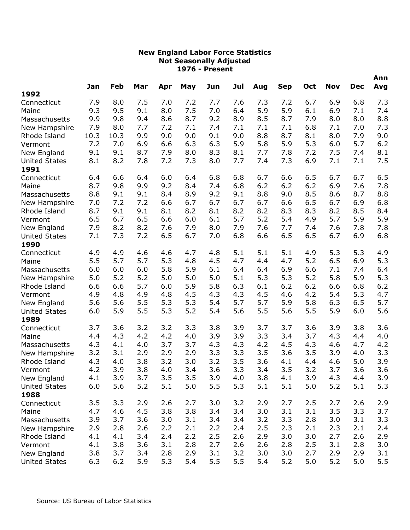|                                     |            |            |            |            |            |            | Jul        |            |            |            |            | <b>Dec</b> | Ann        |
|-------------------------------------|------------|------------|------------|------------|------------|------------|------------|------------|------------|------------|------------|------------|------------|
| 1992                                | Jan        | Feb        | Mar        | Apr        | May        | Jun        |            | Aug        | <b>Sep</b> | Oct        | <b>Nov</b> |            | Avg        |
| Connecticut                         | 7.9        | 8.0        | 7.5        | 7.0        | 7.2        | 7.7        | 7.6        | 7.3        | 7.2        | 6.7        | 6.9        | 6.8        | 7.3        |
| Maine                               | 9.3        | 9.5        | 9.1        | 8.0        | 7.5        | 7.0        | 6.4        | 5.9        | 5.9        | 6.1        | 6.9        | 7.1        | 7.4        |
| Massachusetts                       | 9.9        | 9.8        | 9.4        | 8.6        | 8.7        | 9.2        | 8.9        | 8.5        | 8.7        | 7.9        | 8.0        | 8.0        | 8.8        |
| New Hampshire                       | 7.9        | 8.0        | 7.7        | 7.2        | 7.1        | 7.4        | 7.1        | 7.1        | 7.1        | 6.8        | 7.1        | 7.0        | 7.3        |
| Rhode Island                        | 10.3       | 10.3       | 9.9        | 9.0        | 9.0        | 9.1        | 9.0        | 8.8        | 8.7        | 8.1        | 8.0        | 7.9        | 9.0        |
| Vermont                             | 7.2        | 7.0        | 6.9        | 6.6        | 6.3        | 6.3        | 5.9        | 5.8        | 5.9        | 5.3        | 6.0        | 5.7        | 6.2        |
| New England                         | 9.1        | 9.1        | 8.7        | 7.9        | 8.0        | 8.3        | 8.1        | 7.7        | 7.8        | 7.2        | 7.5        | 7.4        | 8.1        |
| <b>United States</b>                | 8.1        | 8.2        | 7.8        | 7.2        | 7.3        | 8.0        | 7.7        | 7.4        | 7.3        | 6.9        | 7.1        | 7.1        | 7.5        |
| 1991                                |            |            |            |            |            |            |            |            |            |            |            |            |            |
| Connecticut                         | 6.4        | 6.6        | 6.4        | 6.0        | 6.4        | 6.8        | 6.8        | 6.7        | 6.6        | 6.5        | 6.7        | 6.7        | 6.5        |
| Maine                               | 8.7        | 9.8        | 9.9        | 9.2        | 8.4        | 7.4        | 6.8        | 6.2        | 6.2        | 6.2        | 6.9        | 7.6        | 7.8        |
| Massachusetts                       | 8.8        | 9.1        | 9.1        | 8.4        | 8.9        | 9.2        | 9.1        | 8.8        | 9.0        | 8.5        | 8.6        | 8.7        | 8.8        |
| New Hampshire                       | 7.0        | 7.2        | 7.2        | 6.6        | 6.7        | 6.7        | 6.7        | 6.7        | 6.6        | 6.5        | 6.7        | 6.9        | 6.8        |
| Rhode Island                        | 8.7        | 9.1        | 9.1        | 8.1        | 8.2        | 8.1        | 8.2        | 8.2        | 8.3        | 8.3        | 8.2        | 8.5        | 8.4        |
| Vermont                             | 6.5        | 6.7        | 6.5        | 6.6        | 6.0        | 6.1        | 5.7        | 5.2        | 5.4        | 4.9        | 5.7        | 5.9        | 5.9        |
| New England                         | 7.9        | 8.2        | 8.2        | 7.6        | 7.9        | 8.0        | 7.9        | 7.6        | 7.7        | 7.4        | 7.6        | 7.8        | 7.8        |
| <b>United States</b>                | 7.1        | 7.3        | 7.2        | 6.5        | 6.7        | 7.0        | 6.8        | 6.6        | 6.5        | 6.5        | 6.7        | 6.9        | 6.8        |
| 1990                                |            |            |            |            |            |            |            |            |            |            |            |            |            |
| Connecticut                         | 4.9        | 4.9        | 4.6        | 4.6        | 4.7        | 4.8        | 5.1        | 5.1        | 5.1        | 4.9        | 5.3        | 5.3        | 4.9        |
| Maine                               | 5.5        | 5.7        | 5.7        | 5.3        | 4.8        | 4.5        | 4.7        | 4.4        | 4.7        | 5.2        | 6.5        | 6.9        | 5.3        |
| Massachusetts                       | 6.0        | 6.0        | 6.0        | 5.8        | 5.9        | 6.1        | 6.4        | 6.4        | 6.9        | 6.6        | 7.1        | 7.4        | 6.4        |
| New Hampshire                       | 5.0        | 5.2        | 5.2        | 5.0        | 5.0        | 5.0        | 5.1        | 5.3        | 5.3        | 5.2        | 5.8        | 5.9        | 5.3        |
| Rhode Island                        | 6.6        | 6.6        | 5.7        | 6.0        | 5.9        | 5.8        | 6.3        | 6.1        | 6.2        | 6.2        | 6.6        | 6.8        | 6.2        |
| Vermont                             | 4.9        | 4.8        | 4.9        | 4.8        | 4.5        | 4.3        | 4.3        | 4.5        | 4.6        | 4.2        | 5.4        | 5.3        | 4.7        |
| New England                         | 5.6        | 5.6        | 5.5        | 5.3        | 5.3        | 5.4        | 5.7        | 5.7        | 5.9        | 5.8        | 6.3        | 6.5        | 5.7        |
| <b>United States</b>                | 6.0        | 5.9        | 5.5        | 5.3        | 5.2        | 5.4        | 5.6        | 5.5        | 5.6        | 5.5        | 5.9        | 6.0        | 5.6        |
| 1989                                |            |            |            |            |            |            |            |            |            |            |            |            |            |
| Connecticut                         | 3.7        | 3.6        | 3.2        | 3.2        | 3.3        | 3.8        | 3.9        | 3.7        | 3.7        | 3.6        | 3.9        | 3.8        | 3.6        |
| Maine                               | 4.4        | 4.3        | 4.2        | 4.2        | 4.0        | 3.9        | 3.9        | 3.3        | 3.4        | 3.7        | 4.3        | 4.4        | 4.0        |
| Massachusetts                       | 4.3        | 4.1        | 4.0        | 3.7        | 3.7        | 4.3        | 4.3<br>3.3 | 4.2        | 4.5        | 4.3<br>3.5 | 4.6        | 4.7        | 4.2        |
| New Hampshire<br>Rhode Island       | 3.2<br>4.3 | 3.1        | 2.9<br>3.8 | 2.9<br>3.2 | 2.9<br>3.0 | 3.3<br>3.2 | 3.5        | 3.5<br>3.6 | 3.6        |            | 3.9<br>4.6 | 4.0<br>5.0 | 3.3<br>3.9 |
|                                     | 4.2        | 4.0<br>3.9 | 3.8        | 4.0        | 3.4        | 3.6        | 3.3        | 3.4        | 4.1<br>3.5 | 4.4<br>3.2 | 3.7        | 3.6        | 3.6        |
| Vermont                             | 4.1        | 3.9        | 3.7        | 3.5        | 3.5        | 3.9        | 4.0        | 3.8        | 4.1        | 3.9        | 4.3        | 4.4        | 3.9        |
| New England<br><b>United States</b> | 6.0        | 5.6        | 5.2        | 5.1        | 5.0        | 5.5        | 5.3        | 5.1        | 5.1        | 5.0        | 5.2        | 5.1        | 5.3        |
| 1988                                |            |            |            |            |            |            |            |            |            |            |            |            |            |
| Connecticut                         | 3.5        | 3.3        | 2.9        | 2.6        | 2.7        | 3.0        | 3.2        | 2.9        | 2.7        | 2.5        | 2.7        | 2.6        | 2.9        |
| Maine                               | 4.7        | 4.6        | 4.5        | 3.8        | 3.8        | 3.4        | 3.4        | 3.0        | 3.1        | 3.1        | 3.5        | 3.3        | 3.7        |
| Massachusetts                       | 3.9        | 3.7        | 3.6        | 3.0        | 3.1        | 3.4        | 3.4        | 3.2        | 3.3        | 2.8        | 3.0        | 3.1        | 3.3        |
| New Hampshire                       | 2.9        | 2.8        | 2.6        | 2.2        | 2.1        | 2.2        | 2.4        | 2.5        | 2.3        | 2.1        | 2.3        | 2.1        | 2.4        |
| Rhode Island                        | 4.1        | 4.1        | 3.4        | 2.4        | 2.2        | 2.5        | 2.6        | 2.9        | 3.0        | 3.0        | 2.7        | 2.6        | 2.9        |
| Vermont                             | 4.1        | 3.8        | 3.6        | 3.1        | 2.8        | 2.7        | 2.6        | 2.6        | 2.8        | 2.5        | 3.1        | 2.8        | 3.0        |
| New England                         | 3.8        | 3.7        | 3.4        | 2.8        | 2.9        | 3.1        | 3.2        | 3.0        | 3.0        | 2.7        | 2.9        | 2.9        | 3.1        |
| <b>United States</b>                | 6.3        | 6.2        | 5.9        | 5.3        | 5.4        | 5.5        | 5.5        | 5.4        | 5.2        | 5.0        | 5.2        | 5.0        | 5.5        |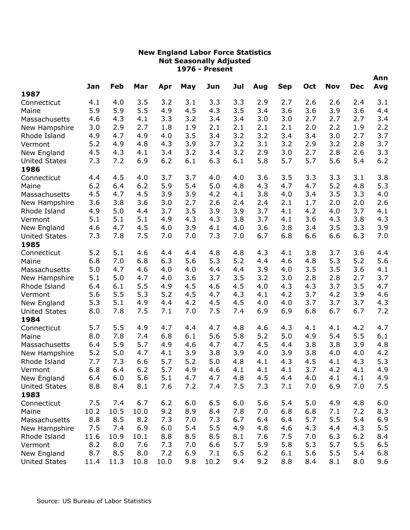|                              |      | Feb  | Mar  |      |     |      | Jul |     |            | Oct | <b>Nov</b> | <b>Dec</b> | Ann<br>Avg |
|------------------------------|------|------|------|------|-----|------|-----|-----|------------|-----|------------|------------|------------|
| 1987                         | Jan  |      |      | Apr  | May | Jun  |     | Aug | <b>Sep</b> |     |            |            |            |
| Connecticut                  | 4.1  | 4.0  | 3.5  | 3.2  | 3.1 | 3.3  | 3.3 | 2.9 | 2.7        | 2.6 | 2.6        | 2.4        | 3.1        |
| Maine                        | 5.9  | 5.9  | 5.5  | 4.9  | 4.5 | 4.3  | 3.5 | 3.4 | 3.6        | 3.6 | 3.9        | 3.6        | 4.4        |
| Massachusetts                | 4.6  | 4.3  | 4.1  | 3.3  | 3.2 | 3.4  | 3.4 | 3.0 | 3.0        | 2.7 | 2.7        | 2.7        | 3.4        |
| New Hampshire                | 3.0  | 2.9  | 2.7  | 1.8  | 1.9 | 2.1  | 2.1 | 2.1 | 2.1        | 2.0 | 2.2        | 1.9        | 2.2        |
| Rhode Island                 | 4.9  | 4.7  | 4.9  | 4.0  | 3.5 | 3.4  | 3.2 | 3.2 | 3.4        | 3.4 | 3.0        | 2.7        | 3.7        |
| Vermont                      | 5.2  | 4.9  | 4.8  | 4.3  | 3.9 | 3.7  | 3.2 | 3.1 | 3.2        | 2.9 | 3.2        | 2.8        | 3.7        |
| New England                  | 4.5  | 4.3  | 4.1  | 3.4  | 3.2 | 3.4  | 3.2 | 2.9 | 3.0        | 2.7 | 2.8        | 2.6        | 3.3        |
| <b>United States</b><br>1986 | 7.3  | 7.2  | 6.9  | 6.2  | 6.1 | 6.3  | 6.1 | 5.8 | 5.7        | 5.7 | 5.6        | 5.4        | 6.2        |
| Connecticut                  | 4.4  | 4.5  | 4.0  | 3.7  | 3.7 | 4.0  | 4.0 | 3.6 | 3.5        | 3.3 | 3.3        | 3.1        | 3.8        |
| Maine                        | 6.2  | 6.4  | 6.2  | 5.9  | 5.4 | 5.0  | 4.8 | 4.3 | 4.7        | 4.7 | 5.2        | 4.8        | 5.3        |
| Massachusetts                | 4.5  | 4.7  | 4.5  | 3.9  | 3.9 | 4.2  | 4.1 | 3.8 | 4.0        | 3.4 | 3.5        | 3.3        | 4.0        |
| New Hampshire                | 3.6  | 3.8  | 3.6  | 3.0  | 2.7 | 2.6  | 2.4 | 2.4 | 2.1        | 1.7 | 2.0        | 2.0        | 2.6        |
| Rhode Island                 | 4.9  | 5.0  | 4.4  | 3.7  | 3.5 | 3.9  | 3.9 | 3.7 | 4.1        | 4.2 | 4.0        | 3.7        | 4.1        |
| Vermont                      | 5.1  | 5.1  | 5.1  | 4.9  | 4.3 | 4.3  | 3.8 | 3.7 | 4.1        | 3.6 | 4.3        | 3.8        | 4.3        |
| New England                  | 4.6  | 4.7  | 4.5  | 4.0  | 3.9 | 4.1  | 4.0 | 3.6 | 3.8        | 3.4 | 3.5        | 3.3        | 3.9        |
| <b>United States</b><br>1985 | 7.3  | 7.8  | 7.5  | 7.0  | 7.0 | 7.3  | 7.0 | 6.7 | 6.8        | 6.6 | 6.6        | 6.3        | 7.0        |
| Connecticut                  | 5.2  | 5.1  | 4.6  | 4.4  | 4.4 | 4.8  | 4.8 | 4.3 | 4.1        | 3.8 | 3.7        | 3.6        | 4.4        |
| Maine                        | 6.8  | 7.0  | 6.8  | 6.3  | 5.6 | 5.3  | 5.2 | 4.4 | 4.6        | 4.8 | 5.3        | 5.2        | 5.6        |
| Massachusetts                | 5.0  | 4.7  | 4.6  | 4.0  | 4.0 | 4.4  | 4.4 | 3.9 | 4.0        | 3.5 | 3.5        | 3.6        | 4.1        |
| New Hampshire                | 5.1  | 5.0  | 4.7  | 4.0  | 3.6 | 3.7  | 3.5 | 3.2 | 3.0        | 2.8 | 2.8        | 2.7        | 3.7        |
| Rhode Island                 | 6.4  | 6.1  | 5.5  | 4.9  | 4.5 | 4.6  | 4.5 | 4.0 | 4.3        | 4.3 | 3.7        | 3.5        | 4.7        |
| Vermont                      | 5.6  | 5.5  | 5.3  | 5.2  | 4.5 | 4.7  | 4.3 | 4.1 | 4.2        | 3.7 | 4.2        | 3.9        | 4.6        |
| New England                  | 5.3  | 5.1  | 4.9  | 4.4  | 4.2 | 4.5  | 4.5 | 4.0 | 4.0        | 3.7 | 3.7        | 3.7        | 4.3        |
| <b>United States</b>         | 8.0  | 7.8  | 7.5  | 7.1  | 7.0 | 7.5  | 7.4 | 6.9 | 6.9        | 6.8 | 6.7        | 6.7        | 7.2        |
| 1984                         |      |      |      |      |     |      |     |     |            |     |            |            |            |
| Connecticut                  | 5.7  | 5.5  | 4.9  | 4.7  | 4.4 | 4.7  | 4.8 | 4.6 | 4.3        | 4.1 | 4.1        | 4.2        | 4.7        |
| Maine                        | 8.0  | 7.8  | 7.4  | 6.8  | 6.1 | 5.6  | 5.8 | 5.2 | 5.0        | 4.9 | 5.4        | 5.5        | 6.1        |
| Massachusetts                | 6.4  | 5.9  | 5.7  | 4.9  | 4.6 | 4.7  | 4.7 | 4.5 | 4.4        | 3.8 | 3.8        | 3.9        | 4.8        |
| New Hampshire                | 5.2  | 5.0  | 4.7  | 4.1  | 3.9 | 3.8  | 3.9 | 4.0 | 3.9        | 3.8 | 4.0        | 4.0        | 4.2        |
| Rhode Island                 | 7.7  | 7.3  | 6.6  | 5.7  | 5.2 | 5.0  | 4.8 | 4.1 | 4.3        | 4.5 | 4.1        | 4.3        | 5.3        |
| Vermont                      | 6.8  | 6.4  | 6.2  | 5.7  | 4.9 | 4.6  | 4.1 | 4.1 | 4.1        | 3.7 | 4.2        | 4.1        | 4.9        |
| New England                  | 6.4  | 6.0  | 5.6  | 5.1  | 4.7 | 4.7  | 4.8 | 4.5 | 4.4        | 4.0 | 4.1        | 4.1        | 4.9        |
| <b>United States</b>         | 8.8  | 8.4  | 8.1  | 7.6  | 7.2 | 7.4  | 7.5 | 7.3 | 7.1        | 7.0 | 6.9        | 7.0        | 7.5        |
| 1983                         |      |      |      |      |     |      |     |     |            |     |            |            |            |
| Connecticut                  | 7.5  | 7.4  | 6.7  | 6.2  | 6.0 | 6.5  | 6.0 | 5.6 | 5.4        | 5.0 | 4.9        | 4.8        | 6.0        |
| Maine                        | 10.2 | 10.5 | 10.0 | 9.2  | 8.9 | 8.4  | 7.8 | 7.0 | 6.8        | 6.8 | 7.1        | 7.2        | 8.3        |
| Massachusetts                | 8.8  | 8.5  | 8.2  | 7.3  | 7.0 | 7.3  | 6.7 | 6.4 | 6.4        | 5.7 | 5.5        | 5.4        | 6.9        |
| New Hampshire                | 7.5  | 7.4  | 6.9  | 6.0  | 5.4 | 5.5  | 4.9 | 4.8 | 4.6        | 4.3 | 4.4        | 4.3        | 5.5        |
| Rhode Island                 | 11.6 | 10.9 | 10.1 | 8.8  | 8.5 | 8.5  | 8.1 | 7.6 | 7.5        | 7.0 | 6.3        | 6.2        | 8.4        |
| Vermont                      | 8.2  | 8.0  | 7.6  | 7.3  | 7.0 | 6.6  | 5.7 | 5.9 | 5.8        | 5.3 | 5.7        | 5.5        | 6.5        |
| New England                  | 8.7  | 8.5  | 8.0  | 7.2  | 6.9 | 7.1  | 6.5 | 6.2 | 6.1        | 5.6 | 5.5        | 5.4        | 6.8        |
| <b>United States</b>         | 11.4 | 11.3 | 10.8 | 10.0 | 9.8 | 10.2 | 9.4 | 9.2 | 8.8        | 8.4 | 8.1        | 8.0        | 9.6        |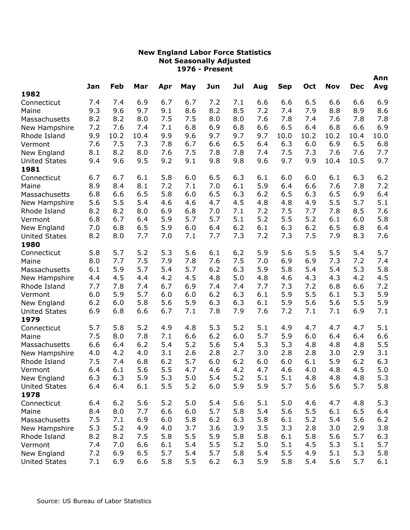|                      | Jan | Feb  | Mar  |     | May | Jun | Jul | Aug | <b>Sep</b> | Oct  | <b>Nov</b> | <b>Dec</b> | Ann<br>Avg |
|----------------------|-----|------|------|-----|-----|-----|-----|-----|------------|------|------------|------------|------------|
| 1982                 |     |      |      | Apr |     |     |     |     |            |      |            |            |            |
| Connecticut          | 7.4 | 7.4  | 6.9  | 6.7 | 6.7 | 7.2 | 7.1 | 6.6 | 6.6        | 6.5  | 6.6        | 6.6        | 6.9        |
| Maine                | 9.3 | 9.6  | 9.7  | 9.1 | 8.6 | 8.2 | 8.5 | 7.2 | 7.4        | 7.9  | 8.8        | 8.9        | 8.6        |
| Massachusetts        | 8.2 | 8.2  | 8.0  | 7.5 | 7.5 | 8.0 | 8.0 | 7.6 | 7.8        | 7.4  | 7.6        | 7.8        | 7.8        |
| New Hampshire        | 7.2 | 7.6  | 7.4  | 7.1 | 6.8 | 6.9 | 6.8 | 6.6 | 6.5        | 6.4  | 6.8        | 6.6        | 6.9        |
| Rhode Island         | 9.9 | 10.2 | 10.4 | 9.9 | 9.6 | 9.7 | 9.7 | 9.7 | 10.0       | 10.2 | 10.2       | 10.4       | 10.0       |
| Vermont              | 7.6 | 7.5  | 7.3  | 7.8 | 6.7 | 6.6 | 6.5 | 6.4 | 6.3        | 6.0  | 6.9        | 6.5        | 6.8        |
| New England          | 8.1 | 8.2  | 8.0  | 7.6 | 7.5 | 7.8 | 7.8 | 7.4 | 7.5        | 7.3  | 7.6        | 7.6        | 7.7        |
| <b>United States</b> | 9.4 | 9.6  | 9.5  | 9.2 | 9.1 | 9.8 | 9.8 | 9.6 | 9.7        | 9.9  | 10.4       | 10.5       | 9.7        |
| 1981                 |     |      |      |     |     |     |     |     |            |      |            |            |            |
| Connecticut          | 6.7 | 6.7  | 6.1  | 5.8 | 6.0 | 6.5 | 6.3 | 6.1 | 6.0        | 6.0  | 6.1        | 6.3        | 6.2        |
| Maine                | 8.9 | 8.4  | 8.1  | 7.2 | 7.1 | 7.0 | 6.1 | 5.9 | 6.4        | 6.6  | 7.6        | 7.8        | 7.2        |
| Massachusetts        | 6.8 | 6.6  | 6.5  | 5.8 | 6.0 | 6.5 | 6.3 | 6.2 | 6.5        | 6.3  | 6.5        | 6.9        | 6.4        |
| New Hampshire        | 5.6 | 5.5  | 5.4  | 4.6 | 4.6 | 4.7 | 4.5 | 4.8 | 4.8        | 4.9  | 5.5        | 5.7        | 5.1        |
| Rhode Island         | 8.2 | 8.2  | 8.0  | 6.9 | 6.8 | 7.0 | 7.1 | 7.2 | 7.5        | 7.7  | 7.8        | 8.5        | 7.6        |
| Vermont              | 6.8 | 6.7  | 6.4  | 5.9 | 5.7 | 5.7 | 5.1 | 5.2 | 5.5        | 5.2  | 6.1        | 6.0        | 5.8        |
| New England          | 7.0 | 6.8  | 6.5  | 5.9 | 6.0 | 6.4 | 6.2 | 6.1 | 6.3        | 6.2  | 6.5        | 6.8        | 6.4        |
| <b>United States</b> | 8.2 | 8.0  | 7.7  | 7.0 | 7.1 | 7.7 | 7.3 | 7.2 | 7.3        | 7.5  | 7.9        | 8.3        | 7.6        |
| 1980                 |     |      |      |     |     |     |     |     |            |      |            |            |            |
| Connecticut          | 5.8 | 5.7  | 5.2  | 5.3 | 5.6 | 6.1 | 6.2 | 5.9 | 5.6        | 5.5  | 5.5        | 5.4        | 5.7        |
| Maine                | 8.0 | 7.7  | 7.5  | 7.9 | 7.8 | 7.6 | 7.5 | 7.0 | 6.9        | 6.9  | 7.3        | 7.2        | 7.4        |
| Massachusetts        | 6.1 | 5.9  | 5.7  | 5.4 | 5.7 | 6.2 | 6.3 | 5.9 | 5.8        | 5.4  | 5.4        | 5.3        | 5.8        |
| New Hampshire        | 4.4 | 4.5  | 4.4  | 4.2 | 4.5 | 4.8 | 5.0 | 4.8 | 4.6        | 4.3  | 4.3        | 4.2        | 4.5        |
| Rhode Island         | 7.7 | 7.8  | 7.4  | 6.7 | 6.9 | 7.4 | 7.4 | 7.7 | 7.3        | 7.2  | 6.8        | 6.6        | 7.2        |
| Vermont              | 6.0 | 5.9  | 5.7  | 6.0 | 6.0 | 6.2 | 6.3 | 6.1 | 5.9        | 5.5  | 6.1        | 5.3        | 5.9        |
| New England          | 6.2 | 6.0  | 5.8  | 5.6 | 5.9 | 6.3 | 6.3 | 6.1 | 5.9        | 5.6  | 5.6        | 5.5        | 5.9        |
| <b>United States</b> | 6.9 | 6.8  | 6.6  | 6.7 | 7.1 | 7.8 | 7.9 | 7.6 | 7.2        | 7.1  | 7.1        | 6.9        | 7.1        |
| 1979                 |     |      |      |     |     |     |     |     |            |      |            |            |            |
| Connecticut          | 5.7 | 5.8  | 5.2  | 4.9 | 4.8 | 5.3 | 5.2 | 5.1 | 4.9        | 4.7  | 4.7        | 4.7        | 5.1        |
| Maine                | 7.5 | 8.0  | 7.8  | 7.1 | 6.6 | 6.2 | 6.0 | 5.7 | 5.9        | 6.0  | 6.4        | 6.4        | 6.6        |
| Massachusetts        | 6.6 | 6.4  | 6.2  | 5.4 | 5.2 | 5.6 | 5.4 | 5.3 | 5.3        | 4.8  | 4.8        | 4.8        | 5.5        |
| New Hampshire        | 4.0 | 4.2  | 4.0  | 3.1 | 2.6 | 2.8 | 2.7 | 3.0 | 2.8        | 2.8  | 3.0        | 2.9        | 3.1        |
| Rhode Island         | 7.5 | 7.4  | 6.8  | 6.2 | 5.7 | 6.0 | 6.2 | 6.0 | 6.0        | 6.1  | 5.9        | 6.2        | 6.3        |
| Vermont              | 6.4 | 6.1  | 5.6  | 5.5 | 4.7 | 4.6 | 4.2 | 4.7 | 4.6        | 4.0  | 4.8        | 4.5        | 5.0        |
| New England          | 6.3 | 6.3  | 5.9  | 5.3 | 5.0 | 5.4 | 5.2 | 5.1 | 5.1        | 4.8  | 4.8        | 4.8        | 5.3        |
| <b>United States</b> | 6.4 | 6.4  | 6.1  | 5.5 | 5.2 | 6.0 | 5.9 | 5.9 | 5.7        | 5.6  | 5.6        | 5.7        | 5.8        |
| 1978                 |     |      |      |     |     |     |     |     |            |      |            |            |            |
| Connecticut          | 6.4 | 6.2  | 5.6  | 5.2 | 5.0 | 5.4 | 5.6 | 5.1 | 5.0        | 4.6  | 4.7        | 4.8        | 5.3        |
| Maine                | 8.4 | 8.0  | 7.7  | 6.6 | 6.0 | 5.7 | 5.8 | 5.4 | 5.6        | 5.5  | 6.1        | 6.5        | 6.4        |
| Massachusetts        | 7.5 | 7.1  | 6.9  | 6.0 | 5.8 | 6.2 | 6.3 | 5.8 | 6.1        | 5.2  | 5.4        | 5.6        | 6.2        |
| New Hampshire        | 5.3 | 5.2  | 4.9  | 4.0 | 3.7 | 3.6 | 3.9 | 3.5 | 3.3        | 2.8  | 3.0        | 2.9        | 3.8        |
| Rhode Island         | 8.2 | 8.2  | 7.5  | 5.8 | 5.5 | 5.9 | 5.8 | 5.8 | 6.1        | 5.8  | 5.6        | 5.7        | 6.3        |
| Vermont              | 7.4 | 7.0  | 6.6  | 6.1 | 5.4 | 5.5 | 5.2 | 5.0 | 5.1        | 4.5  | 5.3        | 5.1        | 5.7        |
| New England          | 7.2 | 6.9  | 6.5  | 5.7 | 5.4 | 5.7 | 5.8 | 5.4 | 5.5        | 4.9  | 5.1        | 5.3        | 5.8        |
| <b>United States</b> | 7.1 | 6.9  | 6.6  | 5.8 | 5.5 | 6.2 | 6.3 | 5.9 | 5.8        | 5.4  | 5.6        | 5.7        | 6.1        |